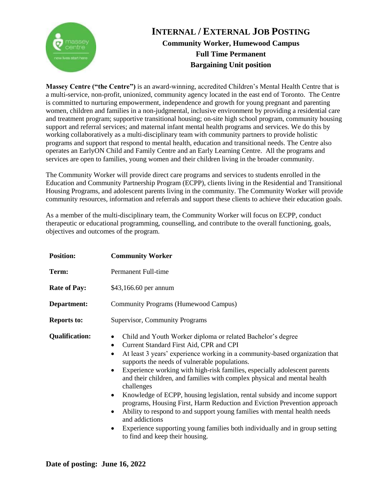

## **INTERNAL / EXTERNAL JOB POSTING Community Worker, Humewood Campus Full Time Permanent Bargaining Unit position**

**Massey Centre ("the Centre")** is an award-winning, accredited Children's Mental Health Centre that is a multi-service, non-profit, unionized, community agency located in the east end of Toronto. The Centre is committed to nurturing empowerment, independence and growth for young pregnant and parenting women, children and families in a non-judgmental, inclusive environment by providing a residential care and treatment program; supportive transitional housing; on-site high school program, community housing support and referral services; and maternal infant mental health programs and services. We do this by working collaboratively as a multi-disciplinary team with community partners to provide holistic programs and support that respond to mental health, education and transitional needs. The Centre also operates an EarlyON Child and Family Centre and an Early Learning Centre. All the programs and services are open to families, young women and their children living in the broader community.

The Community Worker will provide direct care programs and services to students enrolled in the Education and Community Partnership Program (ECPP), clients living in the Residential and Transitional Housing Programs, and adolescent parents living in the community. The Community Worker will provide community resources, information and referrals and support these clients to achieve their education goals.

As a member of the multi-disciplinary team, the Community Worker will focus on ECPP, conduct therapeutic or educational programming, counselling, and contribute to the overall functioning, goals, objectives and outcomes of the program.

| <b>Position:</b>      | <b>Community Worker</b>                                                                                                                                                                                                                                                                                                                                                                                                                                                                                                                                                                                                                                                                                                                                                                                                                                    |
|-----------------------|------------------------------------------------------------------------------------------------------------------------------------------------------------------------------------------------------------------------------------------------------------------------------------------------------------------------------------------------------------------------------------------------------------------------------------------------------------------------------------------------------------------------------------------------------------------------------------------------------------------------------------------------------------------------------------------------------------------------------------------------------------------------------------------------------------------------------------------------------------|
| Term:                 | Permanent Full-time                                                                                                                                                                                                                                                                                                                                                                                                                                                                                                                                                                                                                                                                                                                                                                                                                                        |
| <b>Rate of Pay:</b>   | \$43,166.60 per annum                                                                                                                                                                                                                                                                                                                                                                                                                                                                                                                                                                                                                                                                                                                                                                                                                                      |
| Department:           | Community Programs (Humewood Campus)                                                                                                                                                                                                                                                                                                                                                                                                                                                                                                                                                                                                                                                                                                                                                                                                                       |
| <b>Reports to:</b>    | Supervisor, Community Programs                                                                                                                                                                                                                                                                                                                                                                                                                                                                                                                                                                                                                                                                                                                                                                                                                             |
| <b>Qualification:</b> | Child and Youth Worker diploma or related Bachelor's degree<br>٠<br>Current Standard First Aid, CPR and CPI<br>٠<br>At least 3 years' experience working in a community-based organization that<br>$\bullet$<br>supports the needs of vulnerable populations.<br>Experience working with high-risk families, especially adolescent parents<br>$\bullet$<br>and their children, and families with complex physical and mental health<br>challenges<br>Knowledge of ECPP, housing legislation, rental subsidy and income support<br>$\bullet$<br>programs, Housing First, Harm Reduction and Eviction Prevention approach<br>Ability to respond to and support young families with mental health needs<br>٠<br>and addictions<br>Experience supporting young families both individually and in group setting<br>$\bullet$<br>to find and keep their housing. |